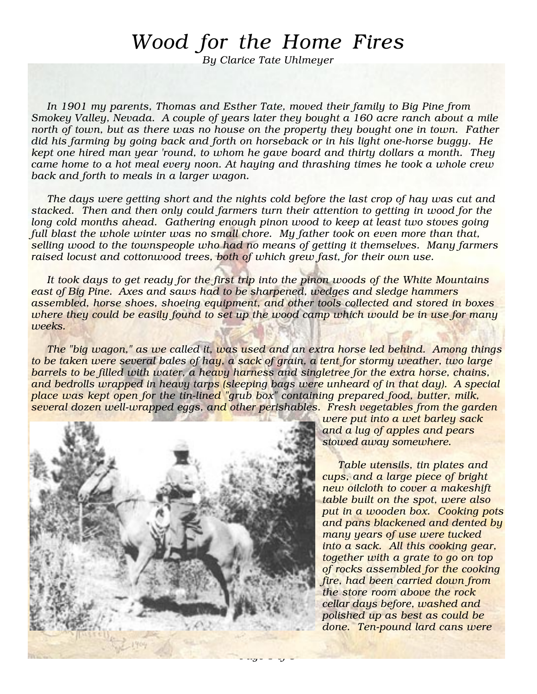## Wood for the Home Fires

By Clarice Tate Uhlmeyer

In 1901 my parents, Thomas and Esther Tate, moved their family to Big Pine from Smokey Valley, Nevada. A couple of years later they bought a 160 acre ranch about a mile north of town, but as there was no house on the property they bought one in town. Father did his farming by going back and forth on horseback or in his light one-horse buggy. He kept one hired man year 'round, to whom he gave board and thirty dollars a month. They came home to a hot meal every noon. At haying and thrashing times he took a whole crew back and forth to meals in a larger wagon.

The days were getting short and the nights cold before the last crop of hay was cut and stacked. Then and then only could farmers turn their attention to getting in wood for the long cold months ahead. Gathering enough pinon wood to keep at least two stoves going full blast the whole winter was no small chore. My father took on even more than that, selling wood to the townspeople who had no means of getting it themselves. Many farmers raised locust and cottonwood trees, both of which grew fast, for their own use.

It took days to get ready for the first trip into the pinon woods of the White Mountains east of Big Pine. Axes and saws had to be sharpened, wedges and sledge hammers assembled, horse shoes, shoeing equipment, and other tools collected and stored in boxes where they could be easily found to set up the wood camp which would be in use for many weeks.

The "big wagon," as we called it, was used and an extra horse led behind. Among things to be taken were several bales of hay, a sack of grain, a tent for stormy weather, two large barrels to be filled with water, a heavy harness and singletree for the extra horse, chains, and bedrolls wrapped in heavy tarps (sleeping bags were unheard of in that day). A special place was kept open for the tin-lined "grub box" containing prepared food, butter, milk, several dozen well-wrapped eggs, and other perishables. Fresh vegetables from the garden



were put into a wet barley sack and a lug of apples and pears stowed away somewhere.

Table utensils, tin plates and cups, and a large piece of bright new oilcloth to cover a makeshift table built on the spot, were also put in a wooden box. Cooking pots and pans blackened and dented by many years of use were tucked into a sack. All this cooking gear, together with a grate to go on top of rocks assembled for the cooking fire, had been carried down from the store room above the rock cellar days before, washed and polished up as best as could be done. Ten-pound lard cans were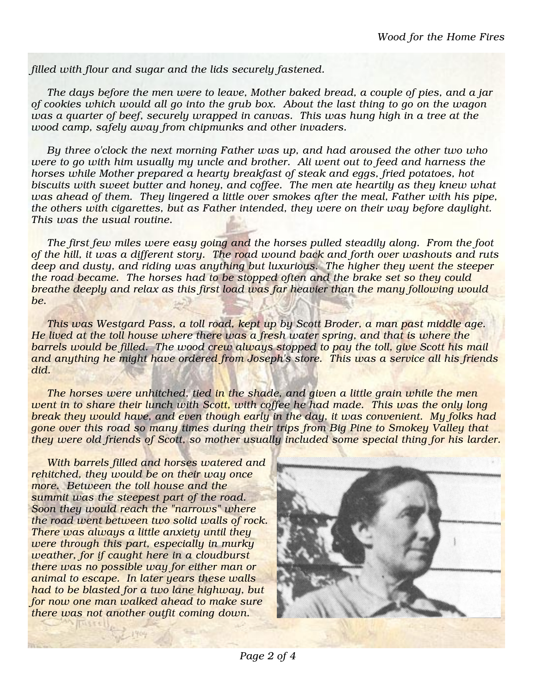filled with flour and sugar and the lids securely fastened.

The days before the men were to leave, Mother baked bread, a couple of pies, and a jar of cookies which would all go into the grub box. About the last thing to go on the wagon was a quarter of beef, securely wrapped in canvas. This was hung high in a tree at the wood camp, safely away from chipmunks and other invaders.

By three o'clock the next morning Father was up, and had aroused the other two who were to go with him usually my uncle and brother. Ali went out to feed and harness the horses while Mother prepared a hearty breakfast of steak and eggs, fried potatoes, hot biscuits with sweet butter and honey, and coffee. The men ate heartily as they knew what was ahead of them. They lingered a little over smokes after the meal, Father with his pipe, the others with cigarettes, but as Father intended, they were on their way before daylight. This was the usual routine.

The first few miles were easy going and the horses pulled steadily along. From the foot of the hill, it was a different story. The road wound back and forth over washouts and ruts deep and dusty, and riding was anything but luxurious. The higher they went the steeper the road became. The horses had to be stopped often and the brake set so they could breathe deeply and relax as this first load was far heavier than the many following would be.

This was Westgard Pass, a toll road, kept up by Scott Broder, a man past middle age. He lived at the toll house where there was a fresh water spring, and that is where the barrels would be filled. The wood crew always stopped to pay the toll, give Scott his mail and anything he might have ordered from Joseph's store. This was a service all his friends did.

The horses were unhitched, tied in the shade, and given a little grain while the men went in to share their lunch with Scott, with coffee he had made. This was the only long break they would have, and even though early in the day, it was convenient. My folks had gone over this road so many times during their trips from Big Pine to Smokey Valley that they were old friends of Scott, so mother usually included some special thing for his larder.

With barrels filled and horses watered and rehitched, they would be on their way once more. Between the toll house and the summit was the steepest part of the road. Soon they would reach the "narrows" where the road went between two solid walls of rock. There was always a little anxiety until they were through this part, especially in murky weather, for if caught here in a cloudburst there was no possible way for either man or animal to escape. In later years these walls had to be blasted for a two lane highway, but for now one man walked ahead to make sure there was not another outfit coming down.

aux Inniber

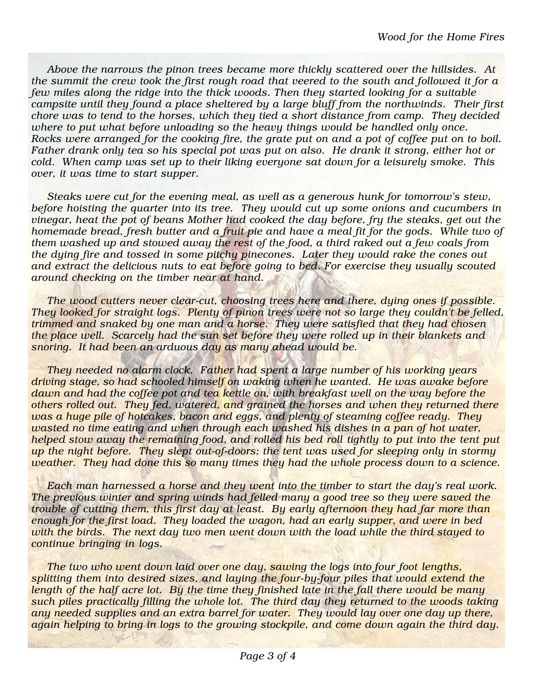Above the narrows the pinon trees became more thickly scattered over the hillsides. At the summit the crew took the first rough road that veered to the south and followed it for a few miles along the ridge into the thick woods. Then they started looking for a suitable campsite until they found a place sheltered by a large bluff from the northwinds. Their first chore was to tend to the horses, which they tied a short distance from camp. They decided where to put what before unloading so the heavy things would be handled only once. Rocks were arranged for the cooking fire, the grate put on and a pot of coffee put on to boil. Father drank only tea so his special pot was put on also. He drank it strong, either hot or cold. When camp was set up to their liking everyone sat down for a leisurely smoke. This over, it was time to start supper.

Steaks were cut for the evening meal, as well as a generous hunk for tomorrow's stew, before hoisting the quarter into its tree. They would cut up some onions and cucumbers in vinegar, heat the pot of beans Mother had cooked the day before, fry the steaks, get out the homemade bread, fresh butter and a fruit pie and have a meal fit for the gods. While two of them washed up and stowed away the rest of the food, a third raked out a few coals from the dying fire and tossed in some pitchy pinecones. Later they would rake the cones out and extract the delicious nuts to eat before going to bed. For exercise they usually scouted around checking on the timber near at hand.

The wood cutters never clear-cut, choosing trees here and there, dying ones if possible. They looked for straight logs. Plenty of pinon trees were not so large they couldn't be felled, trimmed and snaked by one man and a horse. They were satisfied that they had chosen the place well. Scarcely had the sun set before they were rolled up in their blankets and snoring. It had been an arduous day as many ahead would be.

They needed no alarm clock. Father had spent a large number of his working years driving stage, so had schooled himself on waking when he wanted. He was awake before dawn and had the coffee pot and tea kettle on, with breakfast well on the way before the others rolled out. They fed, watered, and grained the horses and when they returned there was a huge pile of hotcakes, bacon and eggs, and plenty of steaming coffee ready. They wasted no time eating and when through each washed his dishes in a pan of hot water, helped stow away the remaining food, and rolled his bed roll tightly to put into the tent put up the night before. They slept out-of-doors; the tent was used for sleeping only in stormy weather. They had done this so many times they had the whole process down to a science.

Each man harnessed a horse and they went into the timber to start the day's real work. The previous winter and spring winds had felled many a good tree so they were saved the trouble of cutting them, this first day at least. By early afternoon they had far more than enough for the first load. They loaded the wagon, had an early supper, and were in bed with the birds. The next day two men went down with the load while the third stayed to continue bringing in logs.

The two who went down laid over one day, sawing the logs into four foot lengths, splitting them into desired sizes, and laying the four-by-four piles that would extend the length of the half acre lot. By the time they finished late in the fall there would be many such piles practically filling the whole lot. The third day they returned to the woods taking any needed supplies and an extra barrel for water. They would lay over one day up there, again helping to bring in logs to the growing stockpile, and come down again the third day.